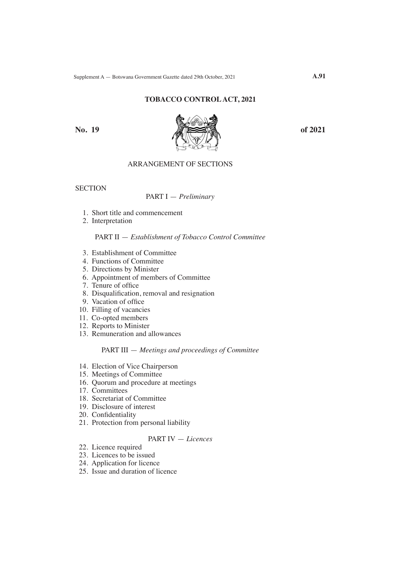## **TOBACCO CONTROL ACT, 2021**



# ARRANGEMENT OF SECTIONS

**SECTION** 

### PART I — *Preliminary*

- 1. Short title and commencement
- 2. Interpretation

## PART II — *Establishment of Tobacco Control Committee*

- 3. Establishment of Committee
- 4. Functions of Committee
- 5. Directions by Minister
- 6. Appointment of members of Committee
- 7. Tenure of office
- 8. Disqualification, removal and resignation
- 9. Vacation of office
- 10. Filling of vacancies
- 11. Co-opted members
- 12. Reports to Minister
- 13. Remuneration and allowances

## PART III — *Meetings and proceedings of Committee*

- 14. Election of Vice Chairperson
- 15. Meetings of Committee
- 16. Quorum and procedure at meetings
- 17. Committees
- 18. Secretariat of Committee
- 19. Disclosure of interest
- 20. Confidentiality
- 21. Protection from personal liability

# PART IV — *Licences*

- 22. Licence required
- 23. Licences to be issued
- 24. Application for licence
- 25. Issue and duration of licence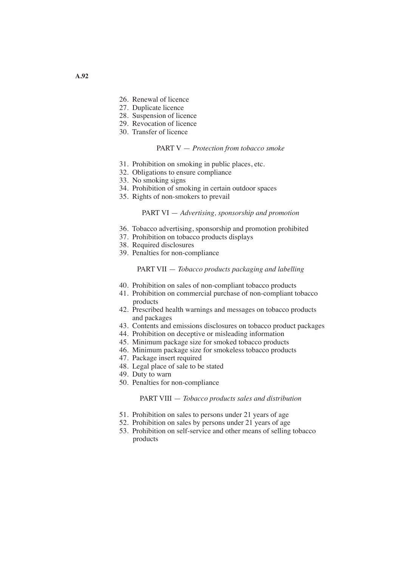- 26. Renewal of licence
- 27. Duplicate licence
- 28. Suspension of licence
- 29. Revocation of licence
- 30. Transfer of licence

## PART V — *Protection from tobacco smoke*

- 31. Prohibition on smoking in public places, etc.
- 32. Obligations to ensure compliance
- 33. No smoking signs
- 34. Prohibition of smoking in certain outdoor spaces
- 35. Rights of non-smokers to prevail

### PART VI — *Advertising, sponsorship and promotion*

- 36. Tobacco advertising, sponsorship and promotion prohibited
- 37. Prohibition on tobacco products displays
- 38. Required disclosures
- 39. Penalties for non-compliance

## PART VII — *Tobacco products packaging and labelling*

- 40. Prohibition on sales of non-compliant tobacco products
- 41. Prohibition on commercial purchase of non-compliant tobacco products
- 42. Prescribed health warnings and messages on tobacco products and packages
- 43. Contents and emissions disclosures on tobacco product packages
- 44. Prohibition on deceptive or misleading information
- 45. Minimum package size for smoked tobacco products
- 46. Minimum package size for smokeless tobacco products
- 47. Package insert required
- 48. Legal place of sale to be stated
- 49. Duty to warn
- 50. Penalties for non-compliance

#### PART VIII — *Tobacco products sales and distribution*

- 51. Prohibition on sales to persons under 21 years of age
- 52. Prohibition on sales by persons under 21 years of age
- 53. Prohibition on self-service and other means of selling tobacco products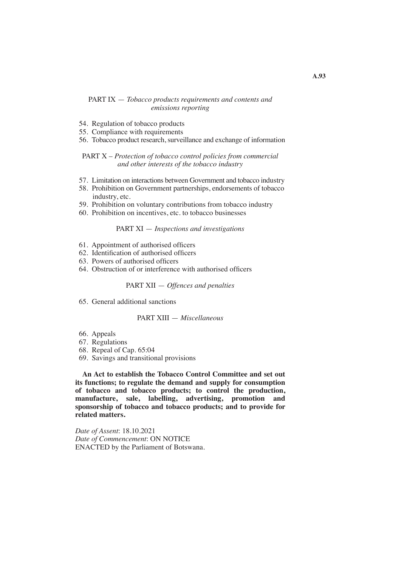## PART IX — *Tobacco products requirements and contents and emissions reporting*

- 54. Regulation of tobacco products
- 55. Compliance with requirements
- 56. Tobacco product research, surveillance and exchange of information

### PART X – *Protection of tobacco control policies from commercial and other interests of the tobacco industry*

- 57. Limitation on interactions between Government and tobacco industry
- 58. Prohibition on Government partnerships, endorsements of tobacco industry, etc.
- 59. Prohibition on voluntary contributions from tobacco industry
- 60. Prohibition on incentives, etc. to tobacco businesses

### PART XI — *Inspections and investigations*

- 61. Appointment of authorised officers
- 62. Identification of authorised officers
- 63. Powers of authorised officers
- 64. Obstruction of or interference with authorised officers

## PART XII — *Offences and penalties*

65. General additional sanctions

## PART XIII — *Miscellaneous*

- 66. Appeals
- 67. Regulations
- 68. Repeal of Cap. 65:04
- 69. Savings and transitional provisions

**An Act to establish the Tobacco Control Committee and set out its functions; to regulate the demand and supply for consumption of tobacco and tobacco products; to control the production, manufacture, sale, labelling, advertising, promotion and sponsorship of tobacco and tobacco products; and to provide for related matters.**

*Date of Assent*: 18.10.2021 *Date of Commencement*: ON NOTICE ENACTED by the Parliament of Botswana.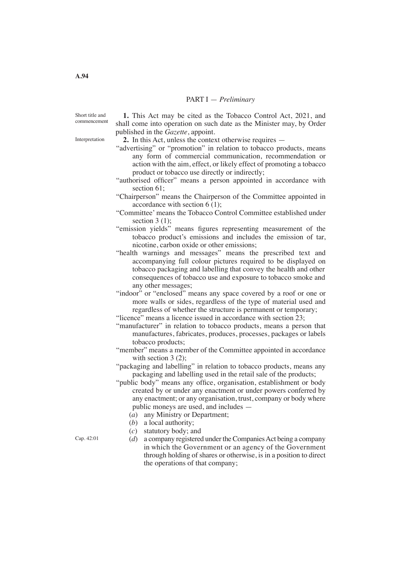#### PART I — *Preliminary*

Short title and commencement

Interpretation

**1.** This Act may be cited as the Tobacco Control Act, 2021, and shall come into operation on such date as the Minister may, by Order published in the *Gazette*, appoint.

**2.** In this Act, unless the context otherwise requires —

- "advertising" or "promotion" in relation to tobacco products, means any form of commercial communication, recommendation or action with the aim, effect, or likely effect of promoting a tobacco product or tobacco use directly or indirectly;
- "authorised officer" means a person appointed in accordance with section 61;
- "Chairperson" means the Chairperson of the Committee appointed in accordance with section 6 (1);
- "Committee' means the Tobacco Control Committee established under section 3 (1):
- "emission yields" means figures representing measurement of the tobacco product's emissions and includes the emission of tar, nicotine, carbon oxide or other emissions;
- "health warnings and messages" means the prescribed text and accompanying full colour pictures required to be displayed on tobacco packaging and labelling that convey the health and other consequences of tobacco use and exposure to tobacco smoke and any other messages;
- "indoor" or "enclosed" means any space covered by a roof or one or more walls or sides, regardless of the type of material used and regardless of whether the structure is permanent or temporary;
- "licence" means a licence issued in accordance with section 23;
- "manufacturer" in relation to tobacco products, means a person that manufactures, fabricates, produces, processes, packages or labels tobacco products;
- "member" means a member of the Committee appointed in accordance with section 3 (2);
- "packaging and labelling" in relation to tobacco products, means any packaging and labelling used in the retail sale of the products;
- "public body" means any office, organisation, establishment or body created by or under any enactment or under powers conferred by any enactment; or any organisation, trust, company or body where public moneys are used, and includes —
	- (*a*) any Ministry or Department;
	- (*b*) a local authority;
	- (*c*) statutory body; and
	- $(d)$  a company registered under the Companies Act being a company in which the Government or an agency of the Government through holding of shares or otherwise, is in a position to direct the operations of that company;

Cap. 42:01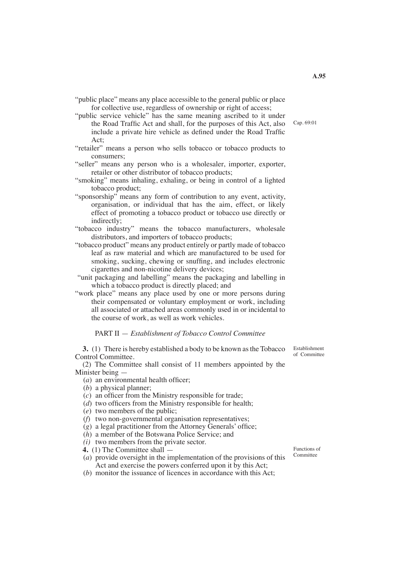- "public place" means any place accessible to the general public or place for collective use, regardless of ownership or right of access;
- "public service vehicle" has the same meaning ascribed to it under the Road Traffic Act and shall, for the purposes of this Act, also include a private hire vehicle as defined under the Road Traffic Act;
- "retailer" means a person who sells tobacco or tobacco products to consumers;
- "seller" means any person who is a wholesaler, importer, exporter, retailer or other distributor of tobacco products;
- "smoking" means inhaling, exhaling, or being in control of a lighted tobacco product;
- "sponsorship" means any form of contribution to any event, activity, organisation, or individual that has the aim, effect, or likely effect of promoting a tobacco product or tobacco use directly or indirectly;
- "tobacco industry" means the tobacco manufacturers, wholesale distributors, and importers of tobacco products;
- "tobacco product" means any product entirely or partly made of tobacco leaf as raw material and which are manufactured to be used for smoking, sucking, chewing or snuffing, and includes electronic cigarettes and non-nicotine delivery devices;
- "unit packaging and labelling" means the packaging and labelling in which a tobacco product is directly placed; and
- "work place" means any place used by one or more persons during their compensated or voluntary employment or work, including all associated or attached areas commonly used in or incidental to the course of work, as well as work vehicles.

#### PART II — *Establishment of Tobacco Control Committee*

**3.** (1) There is hereby established a body to be known as the Tobacco Control Committee.

(2) The Committee shall consist of 11 members appointed by the Minister being —

- (*a*) an environmental health officer;
- (*b*) a physical planner;
- (*c*) an officer from the Ministry responsible for trade;
- (*d*) two officers from the Ministry responsible for health;
- (*e*) two members of the public;
- (*f*) two non-governmental organisation representatives;
- (*g*) a legal practitioner from the Attorney Generals' office;
- (*h*) a member of the Botswana Police Service; and
- *(i)* two members from the private sector.
- **4.** (1) The Committee shall —
- (*a*) provide oversight in the implementation of the provisions of this Act and exercise the powers conferred upon it by this Act;
- (*b*) monitor the issuance of licences in accordance with this Act;

Establishment of Committee

Functions of Committee

Cap. 69:01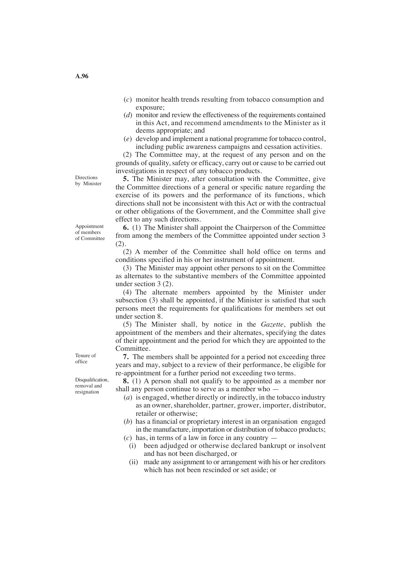- (*c*) monitor health trends resulting from tobacco consumption and exposure;
- (*d*) monitor and review the effectiveness of the requirements contained in this Act, and recommend amendments to the Minister as it deems appropriate; and
- (*e*) develop and implement a national programme for tobacco control, including public awareness campaigns and cessation activities.

 (2) The Committee may, at the request of any person and on the grounds of quality, safety or efficacy, carry out or cause to be carried out investigations in respect of any tobacco products.

**5.** The Minister may, after consultation with the Committee, give the Committee directions of a general or specific nature regarding the exercise of its powers and the performance of its functions, which directions shall not be inconsistent with this Act or with the contractual or other obligations of the Government, and the Committee shall give effect to any such directions.

**6.** (1) The Minister shall appoint the Chairperson of the Committee from among the members of the Committee appointed under section 3 (2).

 (2) A member of the Committee shall hold office on terms and conditions specified in his or her instrument of appointment.

(3) The Minister may appoint other persons to sit on the Committee as alternates to the substantive members of the Committee appointed under section 3 (2).

(4) The alternate members appointed by the Minister under subsection (3) shall be appointed, if the Minister is satisfied that such persons meet the requirements for qualifications for members set out under section 8.

 (5) The Minister shall, by notice in the *Gazette*, publish the appointment of the members and their alternates, specifying the dates of their appointment and the period for which they are appointed to the Committee.

**7.** The members shall be appointed for a period not exceeding three years and may, subject to a review of their performance, be eligible for re-appointment for a further period not exceeding two terms.

**8.** (1) A person shall not qualify to be appointed as a member nor shall any person continue to serve as a member who —

- (*a*) is engaged, whether directly or indirectly, in the tobacco industry as an owner, shareholder, partner, grower, importer, distributor, retailer or otherwise;
- (*b*) has a financial or proprietary interest in an organisation engaged in the manufacture, importation or distribution of tobacco products;
- (*c*) has, in terms of a law in force in any country
	- (i) been adjudged or otherwise declared bankrupt or insolvent and has not been discharged, or
	- (ii) made any assignment to or arrangement with his or her creditors which has not been rescinded or set aside; or

Directions by Minister

Appointment of members of Committee

Tenure of office

Disqualification, removal and resignation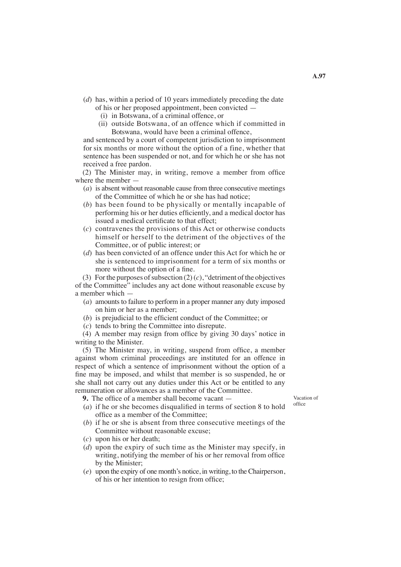- (*d*) has, within a period of 10 years immediately preceding the date of his or her proposed appointment, been convicted —
	- (i) in Botswana, of a criminal offence, or
	- (ii) outside Botswana, of an offence which if committed in Botswana, would have been a criminal offence,

and sentenced by a court of competent jurisdiction to imprisonment for six months or more without the option of a fine, whether that sentence has been suspended or not, and for which he or she has not received a free pardon.

 (2) The Minister may, in writing, remove a member from office where the member —

- (*a*) is absent without reasonable cause from three consecutive meetings of the Committee of which he or she has had notice;
- (*b*) has been found to be physically or mentally incapable of performing his or her duties efficiently, and a medical doctor has issued a medical certificate to that effect;
- (*c*) contravenes the provisions of this Act or otherwise conducts himself or herself to the detriment of the objectives of the Committee, or of public interest; or
- (*d*) has been convicted of an offence under this Act for which he or she is sentenced to imprisonment for a term of six months or more without the option of a fine.

(3) For the purposes of subsection  $(2)(c)$ , "detriment of the objectives of the Committee" includes any act done without reasonable excuse by a member which —

- (*a*) amounts to failure to perform in a proper manner any duty imposed on him or her as a member;
- (*b*) is prejudicial to the efficient conduct of the Committee; or
- (*c*) tends to bring the Committee into disrepute.

 (4) A member may resign from office by giving 30 days' notice in writing to the Minister.

 (5) The Minister may, in writing, suspend from office, a member against whom criminal proceedings are instituted for an offence in respect of which a sentence of imprisonment without the option of a fine may be imposed, and whilst that member is so suspended, he or she shall not carry out any duties under this Act or be entitled to any remuneration or allowances as a member of the Committee.

- **9.** The office of a member shall become vacant —
- (*a*) if he or she becomes disqualified in terms of section 8 to hold office as a member of the Committee;
- (*b*) if he or she is absent from three consecutive meetings of the Committee without reasonable excuse;
- (*c*) upon his or her death;
- (*d*) upon the expiry of such time as the Minister may specify, in writing, notifying the member of his or her removal from office by the Minister;
- (*e*) upon the expiry of one month's notice, in writing, to theChairperson, of his or her intention to resign from office;

Vacation of office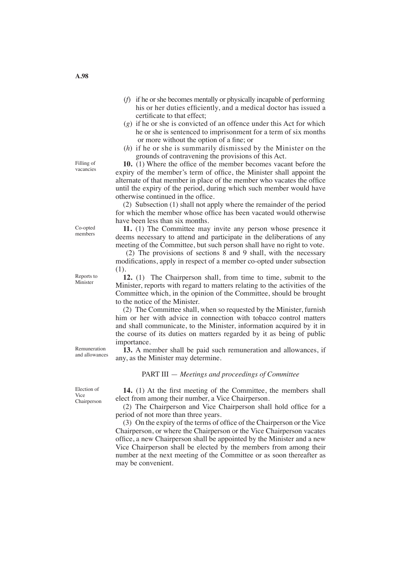- (*f*) if he orshe becomes mentally or physically incapable of performing his or her duties efficiently, and a medical doctor has issued a certificate to that effect;
- (*g*) if he or she is convicted of an offence under this Act for which he or she is sentenced to imprisonment for a term of six months or more without the option of a fine; or
- (*h*) if he or she is summarily dismissed by the Minister on the grounds of contravening the provisions of this Act.

**10.** (1) Where the office of the member becomes vacant before the expiry of the member's term of office, the Minister shall appoint the alternate of that member in place of the member who vacates the office until the expiry of the period, during which such member would have otherwise continued in the office.

(2) Subsection (1) shall not apply where the remainder of the period for which the member whose office has been vacated would otherwise have been less than six months.

**11.** (1) The Committee may invite any person whose presence it deems necessary to attend and participate in the deliberations of any meeting of the Committee, but such person shall have no right to vote.

 (2) The provisions of sections 8 and 9 shall, with the necessary modifications, apply in respect of a member co-opted under subsection (1).

**12.** (1) The Chairperson shall, from time to time, submit to the Minister, reports with regard to matters relating to the activities of the Committee which, in the opinion of the Committee, should be brought to the notice of the Minister.

 (2) The Committee shall, when so requested by the Minister, furnish him or her with advice in connection with tobacco control matters and shall communicate, to the Minister, information acquired by it in the course of its duties on matters regarded by it as being of public importance.

**13.** A member shall be paid such remuneration and allowances, if any, as the Minister may determine.

### PART III — *Meetings and proceedings of Committee*

**14.** (1) At the first meeting of the Committee, the members shall elect from among their number, a Vice Chairperson.

 (2) The Chairperson and Vice Chairperson shall hold office for a period of not more than three years.

 (3) On the expiry of the terms of office of the Chairperson or the Vice Chairperson, or where the Chairperson or the Vice Chairperson vacates office, a new Chairperson shall be appointed by the Minister and a new Vice Chairperson shall be elected by the members from among their number at the next meeting of the Committee or as soon thereafter as may be convenient.

Filling of vacancies

Co-opted members

Reports to Minister

Remuneration and allowances

Election of Vice Chairperson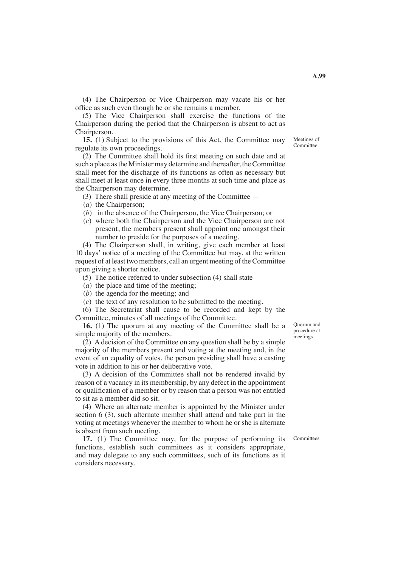(4) The Chairperson or Vice Chairperson may vacate his or her office as such even though he or she remains a member.

 (5) The Vice Chairperson shall exercise the functions of the Chairperson during the period that the Chairperson is absent to act as Chairperson.

**15.** (1) Subject to the provisions of this Act, the Committee may regulate its own proceedings.

 (2) The Committee shall hold its first meeting on such date and at such a place as the Minister may determine and thereafter, the Committee shall meet for the discharge of its functions as often as necessary but shall meet at least once in every three months at such time and place as the Chairperson may determine.

(3) There shall preside at any meeting of the Committee —

- (*a*) the Chairperson;
- (*b*) in the absence of the Chairperson, the Vice Chairperson; or
- (*c*) where both the Chairperson and the Vice Chairperson are not present, the members present shall appoint one amongst their number to preside for the purposes of a meeting.

 (4) The Chairperson shall, in writing, give each member at least 10 days' notice of a meeting of the Committee but may, at the written request of at least two members, call an urgent meeting of the Committee upon giving a shorter notice.

(5) The notice referred to under subsection (4) shall state —

- (*a*) the place and time of the meeting;
- (*b*) the agenda for the meeting; and
- (*c*) the text of any resolution to be submitted to the meeting.

(6) The Secretariat shall cause to be recorded and kept by the Committee, minutes of all meetings of the Committee.

**16.** (1) The quorum at any meeting of the Committee shall be a simple majority of the members.

(2) A decision of the Committee on any question shall be by a simple majority of the members present and voting at the meeting and, in the event of an equality of votes, the person presiding shall have a casting vote in addition to his or her deliberative vote.

 (3) A decision of the Committee shall not be rendered invalid by reason of a vacancy in its membership, by any defect in the appointment or qualification of a member or by reason that a person was not entitled to sit as a member did so sit.

(4) Where an alternate member is appointed by the Minister under section 6 (3), such alternate member shall attend and take part in the voting at meetings whenever the member to whom he or she is alternate is absent from such meeting.

17. (1) The Committee may, for the purpose of performing its functions, establish such committees as it considers appropriate, and may delegate to any such committees, such of its functions as it considers necessary.

Quorum and procedure at meetings

Meetings of Committee

**A.99**

**Committees**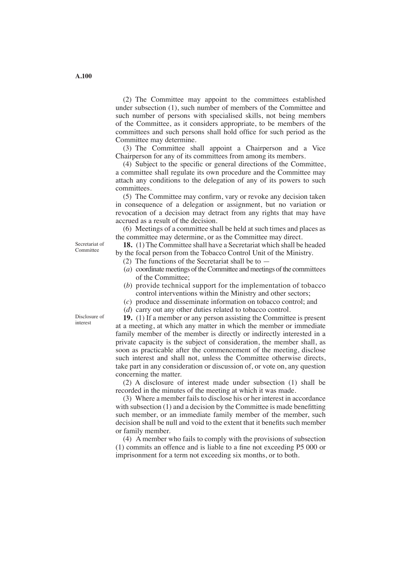(2) The Committee may appoint to the committees established under subsection (1), such number of members of the Committee and such number of persons with specialised skills, not being members of the Committee, as it considers appropriate, to be members of the committees and such persons shall hold office for such period as the Committee may determine.

(3) The Committee shall appoint a Chairperson and a Vice Chairperson for any of its committees from among its members.

 (4) Subject to the specific or general directions of the Committee, a committee shall regulate its own procedure and the Committee may attach any conditions to the delegation of any of its powers to such committees.

 (5) The Committee may confirm, vary or revoke any decision taken in consequence of a delegation or assignment, but no variation or revocation of a decision may detract from any rights that may have accrued as a result of the decision.

 (6) Meetings of a committee shall be held at such times and places as the committee may determine, or as the Committee may direct.

**18.** (1) The Committee shall have a Secretariat which shall be headed by the focal person from the Tobacco Control Unit of the Ministry.

- (2) The functions of the Secretariat shall be to —
- $(a)$  coordinate meetings of the Committee and meetings of the committees of the Committee;
- (*b*) provide technical support for the implementation of tobacco control interventions within the Ministry and other sectors;
- (*c*) produce and disseminate information on tobacco control; and
- (*d*) carry out any other duties related to tobacco control.

**19.** (1) If a member or any person assisting the Committee is present at a meeting, at which any matter in which the member or immediate family member of the member is directly or indirectly interested in a private capacity is the subject of consideration, the member shall, as soon as practicable after the commencement of the meeting, disclose such interest and shall not, unless the Committee otherwise directs, take part in any consideration or discussion of, or vote on, any question concerning the matter.

(2) A disclosure of interest made under subsection (1) shall be recorded in the minutes of the meeting at which it was made.

(3) Where a member fails to disclose his or her interest in accordance with subsection (1) and a decision by the Committee is made benefitting such member, or an immediate family member of the member, such decision shall be null and void to the extent that it benefits such member or family member.

 (4) A member who fails to comply with the provisions of subsection (1) commits an offence and is liable to a fine not exceeding P5 000 or imprisonment for a term not exceeding six months, or to both.

Secretariat of Committee

Disclosure of interest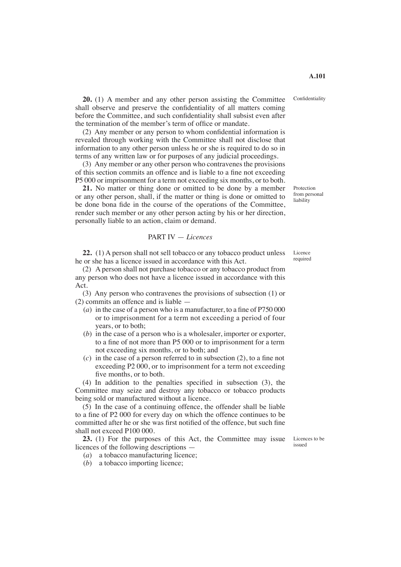**20.** (1) A member and any other person assisting the Committee shall observe and preserve the confidentiality of all matters coming before the Committee, and such confidentiality shall subsist even after

 (2) Any member or any person to whom confidential information is revealed through working with the Committee shall not disclose that information to any other person unless he or she is required to do so in terms of any written law or for purposes of any judicial proceedings.

the termination of the member's term of office or mandate.

 (3) Any member or any other person who contravenes the provisions of this section commits an offence and is liable to a fine not exceeding P5 000 or imprisonment for a term not exceeding six months, or to both.

**21.** No matter or thing done or omitted to be done by a member or any other person, shall, if the matter or thing is done or omitted to be done bona fide in the course of the operations of the Committee, render such member or any other person acting by his or her direction, personally liable to an action, claim or demand.

### PART IV — *Licences*

**22.** (1) A person shall not sell tobacco or any tobacco product unless he or she has a licence issued in accordance with this Act.

(2) A person shall not purchase tobacco or any tobacco product from any person who does not have a licence issued in accordance with this Act.

 (3) Any person who contravenes the provisions of subsection (1) or (2) commits an offence and is liable —

- (*a*) in the case of a person who is a manufacturer, to a fine of P750 000 or to imprisonment for a term not exceeding a period of four years, or to both;
- (*b*) in the case of a person who is a wholesaler, importer or exporter, to a fine of not more than P5 000 or to imprisonment for a term not exceeding six months, or to both; and
- (*c*) in the case of a person referred to in subsection (2), to a fine not exceeding P2 000, or to imprisonment for a term not exceeding five months, or to both.

 (4) In addition to the penalties specified in subsection (3), the Committee may seize and destroy any tobacco or tobacco products being sold or manufactured without a licence.

 (5) In the case of a continuing offence, the offender shall be liable to a fine of P2 000 for every day on which the offence continues to be committed after he or she was first notified of the offence, but such fine shall not exceed P100 000.

23. (1) For the purposes of this Act, the Committee may issue licences of the following descriptions —

- (*a*) a tobacco manufacturing licence;
- (*b*) a tobacco importing licence;

Licence required

Confidentiality

Protection from personal liability

Licences to be issued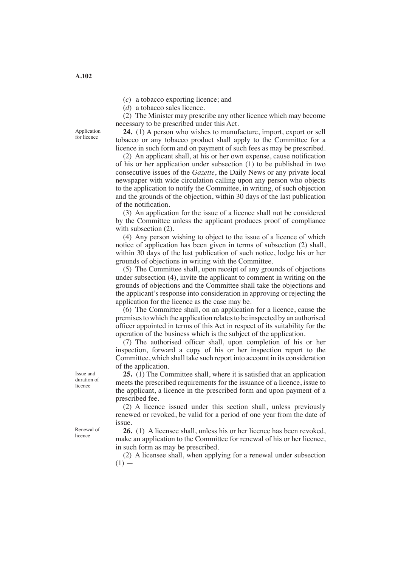(*c*) a tobacco exporting licence; and

(*d*) a tobacco sales licence.

(2) The Minister may prescribe any other licence which may become necessary to be prescribed under this Act.

**24.** (1) A person who wishes to manufacture, import, export or sell tobacco or any tobacco product shall apply to the Committee for a licence in such form and on payment of such fees as may be prescribed.

 (2) An applicant shall, at his or her own expense, cause notification of his or her application under subsection (1) to be published in two consecutive issues of the *Gazette*, the Daily News or any private local newspaper with wide circulation calling upon any person who objects to the application to notify the Committee, in writing, of such objection and the grounds of the objection, within 30 days of the last publication of the notification.

(3) An application for the issue of a licence shall not be considered by the Committee unless the applicant produces proof of compliance with subsection  $(2)$ .

 (4) Any person wishing to object to the issue of a licence of which notice of application has been given in terms of subsection (2) shall, within 30 days of the last publication of such notice, lodge his or her grounds of objections in writing with the Committee.

 (5) The Committee shall, upon receipt of any grounds of objections under subsection (4), invite the applicant to comment in writing on the grounds of objections and the Committee shall take the objections and the applicant's response into consideration in approving or rejecting the application for the licence as the case may be.

 (6) The Committee shall, on an application for a licence, cause the premises to which the application relates to be inspected by an authorised officer appointed in terms of this Act in respect of its suitability for the operation of the business which is the subject of the application.

 (7) The authorised officer shall, upon completion of his or her inspection, forward a copy of his or her inspection report to the Committee, which shall take such report into account in its consideration of the application.

**25.** (1) The Committee shall, where it is satisfied that an application meets the prescribed requirements for the issuance of a licence, issue to the applicant, a licence in the prescribed form and upon payment of a prescribed fee.

 (2) A licence issued under this section shall, unless previously renewed or revoked, be valid for a period of one year from the date of issue.

**26.** (1) A licensee shall, unless his or her licence has been revoked, make an application to the Committee for renewal of his or her licence, in such form as may be prescribed.

 (2) A licensee shall, when applying for a renewal under subsection  $(1)$  —

Issue and duration of licence

Renewal of licence

Application for licence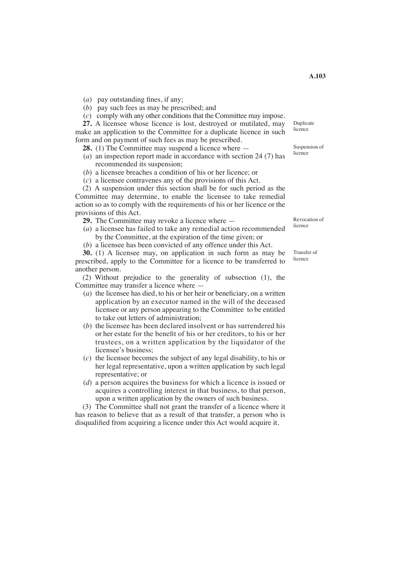(*a*) pay outstanding fines, if any;

(*b*) pay such fees as may be prescribed; and

(*c*) comply with any other conditions that the Committee may impose.

**27.** A licensee whose licence is lost, destroyed or mutilated, may make an application to the Committee for a duplicate licence in such form and on payment of such fees as may be prescribed.

**28.** (1) The Committee may suspend a licence where —

- (*a*) an inspection report made in accordance with section 24 (7) has recommended its suspension;
- (*b*) a licensee breaches a condition of his or her licence; or
- (*c*) a licensee contravenes any of the provisions of this Act.

(2) A suspension under this section shall be for such period as the Committee may determine, to enable the licensee to take remedial action so as to comply with the requirements of his or her licence or the provisions of this Act.

- **29.** The Committee may revoke a licence where —
- (*a*) a licensee has failed to take any remedial action recommended by the Committee, at the expiration of the time given; or
- (*b*) a licensee has been convicted of any offence under this Act.

**30.** (1) A licensee may, on application in such form as may be prescribed, apply to the Committee for a licence to be transferred to another person.

 (2) Without prejudice to the generality of subsection (1), the Committee may transfer a licence where —

- (*a*) the licensee has died, to his or her heir or beneficiary, on a written application by an executor named in the will of the deceased licensee or any person appearing to the Committee to be entitled to take out letters of administration;
- (*b*) the licensee has been declared insolvent or has surrendered his or her estate for the benefit of his or her creditors, to his or her trustees, on a written application by the liquidator of the licensee's business;
- (*c*) the licensee becomes the subject of any legal disability, to his or her legal representative, upon a written application by such legal representative; or
- (*d*) a person acquires the business for which a licence is issued or acquires a controlling interest in that business, to that person, upon a written application by the owners of such business.

 (3) The Committee shall not grant the transfer of a licence where it has reason to believe that as a result of that transfer, a person who is disqualified from acquiring a licence under this Act would acquire it.

Revocation of licence

Transfer of licence

Suspension of licence

Duplicate licence

**A.103**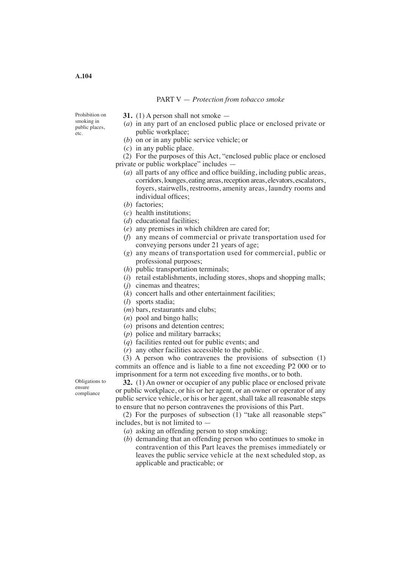#### PART V — *Protection from tobacco smoke*

Prohibition on smoking in public places, etc.

- **31.** (1) A person shall not smoke —
- (*a*) in any part of an enclosed public place or enclosed private or public workplace;
- (*b*) on or in any public service vehicle; or
- (*c*) in any public place.

 (2) For the purposes of this Act, "enclosed public place or enclosed private or public workplace" includes —

- (*a*) all parts of any office and office building, including public areas, corridors, lounges, eating areas, reception areas, elevators, escalators, foyers, stairwells, restrooms, amenity areas, laundry rooms and individual offices;
- (*b*) factories;
- (*c*) health institutions;
- (*d*) educational facilities;
- (*e*) any premises in which children are cared for;
- (*f*) any means of commercial or private transportation used for conveying persons under 21 years of age;
- (*g*) any means of transportation used for commercial, public or professional purposes;
- (*h*) public transportation terminals;
- (*i*) retail establishments, including stores, shops and shopping malls;
- (*j*) cinemas and theatres;
- (*k*) concert halls and other entertainment facilities;
- (*l*) sports stadia;
- (*m*) bars, restaurants and clubs;
- (*n*) pool and bingo halls;
- (*o*) prisons and detention centres;
- (*p*) police and military barracks;
- (*q*) facilities rented out for public events; and
- (*r*) any other facilities accessible to the public.

 (3) A person who contravenes the provisions of subsection (1) commits an offence and is liable to a fine not exceeding P2 000 or to imprisonment for a term not exceeding five months, or to both.

Obligations to ensure compliance

**32.** (1) An owner or occupier of any public place or enclosed private or public workplace, or his or her agent, or an owner or operator of any public service vehicle, or his or her agent, shall take all reasonable steps to ensure that no person contravenes the provisions of this Part.

 (2) For the purposes of subsection (1) "take all reasonable steps" includes, but is not limited to —

- (*a*) asking an offending person to stop smoking;
- (*b*) demanding that an offending person who continues to smoke in contravention of this Part leaves the premises immediately or leaves the public service vehicle at the next scheduled stop, as applicable and practicable; or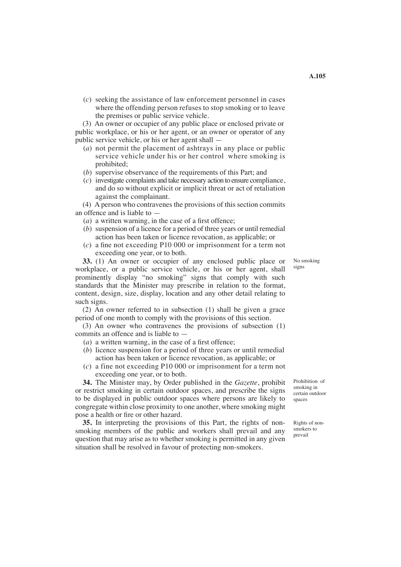(*c*) seeking the assistance of law enforcement personnel in cases where the offending person refuses to stop smoking or to leave the premises or public service vehicle.

 (3) An owner or occupier of any public place or enclosed private or public workplace, or his or her agent, or an owner or operator of any public service vehicle, or his or her agent shall —

- (*a*) not permit the placement of ashtrays in any place or public service vehicle under his or her control where smoking is prohibited;
- (*b*) supervise observance of the requirements of this Part; and
- (*c*) investigate complaints and take necessary action to ensure compliance, and do so without explicit or implicit threat or act of retaliation against the complainant.

 (4) A person who contravenes the provisions of this section commits an offence and is liable to —

- (*a*) a written warning, in the case of a first offence;
- (*b*) suspension of a licence for a period of three years or until remedial action has been taken or licence revocation, as applicable; or
- (*c*) a fine not exceeding P10 000 or imprisonment for a term not exceeding one year, or to both.

**33.** (1) An owner or occupier of any enclosed public place or workplace, or a public service vehicle, or his or her agent, shall prominently display "no smoking" signs that comply with such standards that the Minister may prescribe in relation to the format, content, design, size, display, location and any other detail relating to such signs.

 (2) An owner referred to in subsection (1) shall be given a grace period of one month to comply with the provisions of this section.

 (3) An owner who contravenes the provisions of subsection (1) commits an offence and is liable to —

- (*a*) a written warning, in the case of a first offence;
- (*b*) licence suspension for a period of three years or until remedial action has been taken or licence revocation, as applicable; or
- (*c*) a fine not exceeding P10 000 or imprisonment for a term not exceeding one year, or to both.

**34.** The Minister may, by Order published in the *Gazette*, prohibit or restrict smoking in certain outdoor spaces, and prescribe the signs to be displayed in public outdoor spaces where persons are likely to congregate within close proximity to one another, where smoking might pose a health or fire or other hazard.

**35.** In interpreting the provisions of this Part, the rights of nonsmoking members of the public and workers shall prevail and any question that may arise as to whether smoking is permitted in any given situation shall be resolved in favour of protecting non-smokers.

Prohibition of smoking in certain outdoor spaces

Rights of nonsmokers to prevail

No smoking signs

**A.105**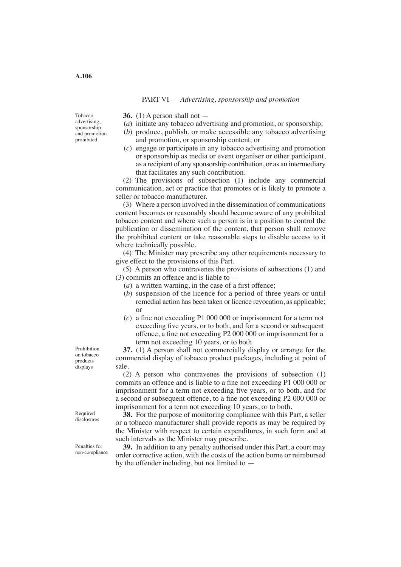#### PART VI — *Advertising, sponsorship and promotion*

Tobacco advertising, sponsorship and promotion prohibited

- **36.** (1) A person shall not —
- (*a*) initiate any tobacco advertising and promotion, or sponsorship;
- (*b*) produce, publish, or make accessible any tobacco advertising and promotion, or sponsorship content; or
- (*c*) engage or participate in any tobacco advertising and promotion or sponsorship as media or event organiser or other participant, as a recipient of any sponsorship contribution, or as an intermediary that facilitates any such contribution.

 (2) The provisions of subsection (1) include any commercial communication, act or practice that promotes or is likely to promote a seller or tobacco manufacturer.

 (3) Where a person involved in the dissemination of communications content becomes or reasonably should become aware of any prohibited tobacco content and where such a person is in a position to control the publication or dissemination of the content, that person shall remove the prohibited content or take reasonable steps to disable access to it where technically possible.

(4) The Minister may prescribe any other requirements necessary to give effect to the provisions of this Part.

 (5) A person who contravenes the provisions of subsections (1) and  $(3)$  commits an offence and is liable to  $-$ 

- (*a*) a written warning, in the case of a first offence;
- (*b*) suspension of the licence for a period of three years or until remedial action has been taken or licence revocation, as applicable; or
- (*c*) a fine not exceeding P1 000 000 or imprisonment for a term not exceeding five years, or to both, and for a second or subsequent offence, a fine not exceeding P2 000 000 or imprisonment for a term not exceeding 10 years, or to both.

**37.** (1) A person shall not commercially display or arrange for the commercial display of tobacco product packages, including at point of sale.

 (2) A person who contravenes the provisions of subsection (1) commits an offence and is liable to a fine not exceeding P1 000 000 or imprisonment for a term not exceeding five years, or to both, and for a second or subsequent offence, to a fine not exceeding P2 000 000 or imprisonment for a term not exceeding 10 years, or to both.

**38.** For the purpose of monitoring compliance with this Part, a seller or a tobacco manufacturer shall provide reports as may be required by the Minister with respect to certain expenditures, in such form and at such intervals as the Minister may prescribe.

**39.** In addition to any penalty authorised under this Part, a court may order corrective action, with the costs of the action borne or reimbursed by the offender including, but not limited to —

Prohibition on tobacco products displays

Required disclosures

Penalties for non-compliance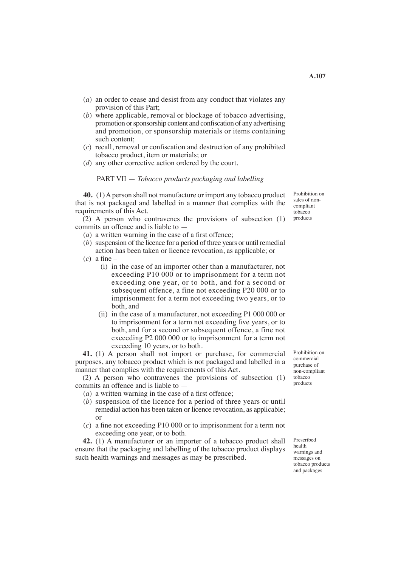- (*a*) an order to cease and desist from any conduct that violates any provision of this Part;
- (*b*) where applicable, removal or blockage of tobacco advertising, promotion orsponsorship content and confiscation of any advertising and promotion, or sponsorship materials or items containing such content;
- (*c*) recall, removal or confiscation and destruction of any prohibited tobacco product, item or materials; or
- (*d*) any other corrective action ordered by the court.

#### PART VII — *Tobacco products packaging and labelling*

**40.** (1) A person shall not manufacture or import any tobacco product that is not packaged and labelled in a manner that complies with the requirements of this Act.

 $(2)$  A person who contravenes the provisions of subsection  $(1)$ commits an offence and is liable to —

- (*a*) a written warning in the case of a first offence;
- (*b*) suspension of the licence for a period of three years or until remedial action has been taken or licence revocation, as applicable; or
- (*c*) a fine
	- (i) in the case of an importer other than a manufacturer, not exceeding P10 000 or to imprisonment for a term not exceeding one year, or to both, and for a second or subsequent offence, a fine not exceeding P20 000 or to imprisonment for a term not exceeding two years, or to both, and
	- (ii) in the case of a manufacturer, not exceeding P1 000 000 or to imprisonment for a term not exceeding five years, or to both, and for a second or subsequent offence, a fine not exceeding P2 000 000 or to imprisonment for a term not exceeding 10 years, or to both.

**41.** (1) A person shall not import or purchase, for commercial purposes, any tobacco product which is not packaged and labelled in a manner that complies with the requirements of this Act.

 (2) A person who contravenes the provisions of subsection (1) commits an offence and is liable to —

- (*a*) a written warning in the case of a first offence;
- (*b*) suspension of the licence for a period of three years or until remedial action has been taken or licence revocation, as applicable; or
- (*c*) a fine not exceeding P10 000 or to imprisonment for a term not exceeding one year, or to both.

**42.** (1) A manufacturer or an importer of a tobacco product shall ensure that the packaging and labelling of the tobacco product displays such health warnings and messages as may be prescribed.

Prohibition on commercial purchase of non-compliant tobacco products

Prescribed health warnings and messages on tobacco products and packages

Prohibition on sales of noncompliant tobacco products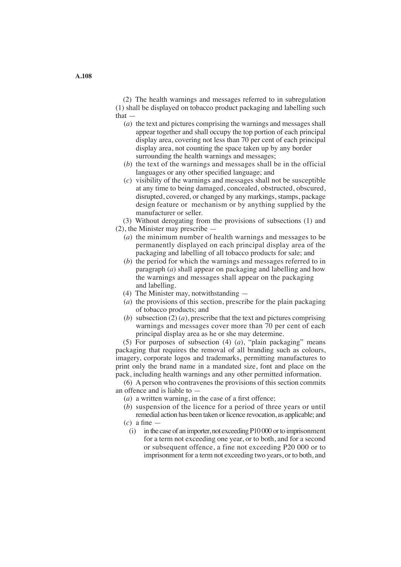(2) The health warnings and messages referred to in subregulation (1) shall be displayed on tobacco product packaging and labelling such that —

- (*a*) the text and pictures comprising the warnings and messages shall appear together and shall occupy the top portion of each principal display area, covering not less than 70 per cent of each principal display area, not counting the space taken up by any border surrounding the health warnings and messages;
- (*b*) the text of the warnings and messages shall be in the official languages or any other specified language; and
- (*c*) visibility of the warnings and messages shall not be susceptible at any time to being damaged, concealed, obstructed, obscured, disrupted, covered, or changed by any markings, stamps, package design feature or mechanism or by anything supplied by the manufacturer or seller.

(3) Without derogating from the provisions of subsections (1) and

- (2), the Minister may prescribe
	- (*a*) the minimum number of health warnings and messages to be permanently displayed on each principal display area of the packaging and labelling of all tobacco products for sale; and
	- (*b*) the period for which the warnings and messages referred to in paragraph (*a*) shall appear on packaging and labelling and how the warnings and messages shall appear on the packaging and labelling.
	- (4) The Minister may, notwithstanding —
	- (*a*) the provisions of this section, prescribe for the plain packaging of tobacco products; and
	- (*b*) subsection (2) (*a*), prescribe that the text and pictures comprising warnings and messages cover more than 70 per cent of each principal display area as he or she may determine.

(5) For purposes of subsection (4) (*a*), "plain packaging" means packaging that requires the removal of all branding such as colours, imagery, corporate logos and trademarks, permitting manufactures to print only the brand name in a mandated size, font and place on the pack, including health warnings and any other permitted information.

(6) A person who contravenes the provisions of this section commits an offence and is liable to —

- (*a*) a written warning, in the case of a first offence;
- (*b*) suspension of the licence for a period of three years or until remedial action has been taken or licence revocation, as applicable; and
- (*c*) a fine
	- (i) in the case of an importer, not exceeding P10 000 orto imprisonment for a term not exceeding one year, or to both, and for a second or subsequent offence, a fine not exceeding P20 000 or to imprisonment for a term not exceeding two years, or to both, and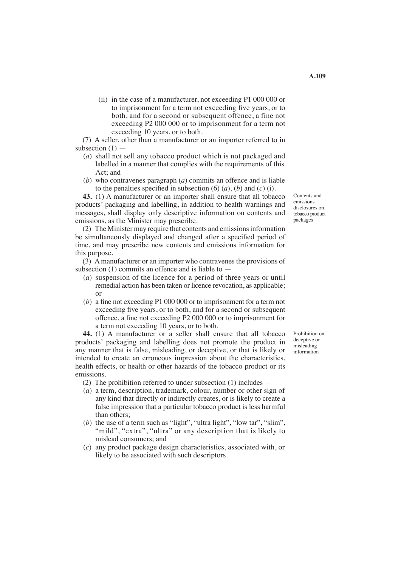(ii) in the case of a manufacturer, not exceeding P1 000 000 or to imprisonment for a term not exceeding five years, or to both, and for a second or subsequent offence, a fine not exceeding P2 000 000 or to imprisonment for a term not exceeding 10 years, or to both.

 (7) A seller, other than a manufacturer or an importer referred to in subsection  $(1)$  —

- (*a*) shall not sell any tobacco product which is not packaged and labelled in a manner that complies with the requirements of this Act; and
- (*b*) who contravenes paragraph (*a*) commits an offence and is liable to the penalties specified in subsection  $(6)$   $(a)$ ,  $(b)$  and  $(c)$   $(i)$ .

**43.** (1) A manufacturer or an importer shall ensure that all tobacco products' packaging and labelling, in addition to health warnings and messages, shall display only descriptive information on contents and emissions, as the Minister may prescribe.

(2) The Minister may require that contents and emissions information be simultaneously displayed and changed after a specified period of time, and may prescribe new contents and emissions information for this purpose.

 (3) Amanufacturer or an importer who contravenes the provisions of subsection (1) commits an offence and is liable to —

- (*a*) suspension of the licence for a period of three years or until remedial action has been taken or licence revocation, as applicable; or
- (*b*) a fine not exceeding P1 000 000 or to imprisonment for a term not exceeding five years, or to both, and for a second or subsequent offence, a fine not exceeding P2 000 000 or to imprisonment for a term not exceeding 10 years, or to both.

**44.** (1) A manufacturer or a seller shall ensure that all tobacco products' packaging and labelling does not promote the product in any manner that is false, misleading, or deceptive, or that is likely or intended to create an erroneous impression about the characteristics, health effects, or health or other hazards of the tobacco product or its emissions.

(2) The prohibition referred to under subsection (1) includes —

- (*a*) a term, description, trademark, colour, number or other sign of any kind that directly or indirectly creates, or is likely to create a false impression that a particular tobacco product is less harmful than others;
- (*b*) the use of a term such as "light", "ultra light", "low tar", "slim", "mild", "extra", "ultra" or any description that is likely to mislead consumers; and
- (*c*) any product package design characteristics, associated with, or likely to be associated with such descriptors.

Prohibition on deceptive or misleading information

Contents and emissions disclosures on tobacco product packages

**A.109**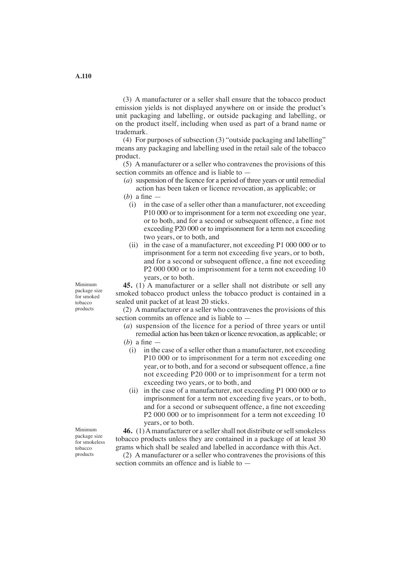(3) A manufacturer or a seller shall ensure that the tobacco product emission yields is not displayed anywhere on or inside the product's unit packaging and labelling, or outside packaging and labelling, or on the product itself, including when used as part of a brand name or trademark.

 (4) For purposes of subsection (3) "outside packaging and labelling" means any packaging and labelling used in the retail sale of the tobacco product.

 (5) A manufacturer or a seller who contravenes the provisions of this section commits an offence and is liable to —

- (*a*) suspension of the licence for a period of three years or until remedial action has been taken or licence revocation, as applicable; or
- (*b*) a fine
	- (i) in the case of a seller other than a manufacturer, not exceeding P10 000 or to imprisonment for a term not exceeding one year, or to both, and for a second or subsequent offence, a fine not exceeding P20 000 or to imprisonment for a term not exceeding two years, or to both, and
	- (ii) in the case of a manufacturer, not exceeding P1 000 000 or to imprisonment for a term not exceeding five years, or to both, and for a second or subsequent offence, a fine not exceeding P<sub>2</sub> 000 000 or to imprisonment for a term not exceeding 10 years, or to both.

**45.** (1) A manufacturer or a seller shall not distribute or sell any smoked tobacco product unless the tobacco product is contained in a sealed unit packet of at least 20 sticks.

 (2) A manufacturer or a seller who contravenes the provisions of this section commits an offence and is liable to —

- (*a*) suspension of the licence for a period of three years or until remedial action has been taken or licence revocation, as applicable; or (*b*) a fine —
	- (i) in the case of a seller other than a manufacturer, not exceeding P10 000 or to imprisonment for a term not exceeding one year, or to both, and for a second or subsequent offence, a fine not exceeding P20 000 or to imprisonment for a term not exceeding two years, or to both, and
	- (ii) in the case of a manufacturer, not exceeding P1 000 000 or to imprisonment for a term not exceeding five years, or to both, and for a second or subsequent offence, a fine not exceeding P<sub>2</sub> 000 000 or to imprisonment for a term not exceeding 10 years, or to both.

**46.** (1) A manufacturer or a seller shall not distribute or sell smokeless tobacco products unless they are contained in a package of at least 30 grams which shall be sealed and labelled in accordance with this Act.

 (2) A manufacturer or a seller who contravenes the provisions of this section commits an offence and is liable to —

Minimum package size for smoked tobacco products

Minimum package size for smokeless tobacco products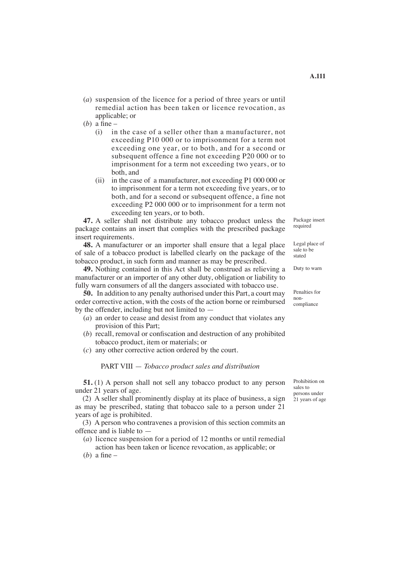- (*a*) suspension of the licence for a period of three years or until remedial action has been taken or licence revocation, as applicable; or
- (*b*) a fine
	- (i) in the case of a seller other than a manufacturer, not exceeding P10 000 or to imprisonment for a term not exceeding one year, or to both, and for a second or subsequent offence a fine not exceeding P20 000 or to imprisonment for a term not exceeding two years, or to both, and
	- (ii) in the case of a manufacturer, not exceeding P1 000 000 or to imprisonment for a term not exceeding five years, or to both, and for a second or subsequent offence, a fine not exceeding P2 000 000 or to imprisonment for a term not exceeding ten years, or to both.

**47.** A seller shall not distribute any tobacco product unless the package contains an insert that complies with the prescribed package insert requirements.

**48.** A manufacturer or an importer shall ensure that a legal place of sale of a tobacco product is labelled clearly on the package of the tobacco product, in such form and manner as may be prescribed.

**49.** Nothing contained in this Act shall be construed as relieving a manufacturer or an importer of any other duty, obligation or liability to fully warn consumers of all the dangers associated with tobacco use.

**50.** In addition to any penalty authorised under this Part, a court may order corrective action, with the costs of the action borne or reimbursed by the offender, including but not limited to —

- (*a*) an order to cease and desist from any conduct that violates any provision of this Part;
- (*b*) recall, removal or confiscation and destruction of any prohibited tobacco product, item or materials; or
- (*c*) any other corrective action ordered by the court.

PART VIII — *Tobacco product sales and distribution*

**51.** (1) A person shall not sell any tobacco product to any person under 21 years of age.

 (2) A seller shall prominently display at its place of business, a sign as may be prescribed, stating that tobacco sale to a person under 21 years of age is prohibited.

 (3) A person who contravenes a provision of this section commits an offence and is liable to —

- (*a*) licence suspension for a period of 12 months or until remedial action has been taken or licence revocation, as applicable; or
- (*b*) a fine –

Prohibition on sales to persons under 21 years of age

Package insert required

Legal place of sale to be stated

Duty to warn

Penalties for noncompliance

**A.111**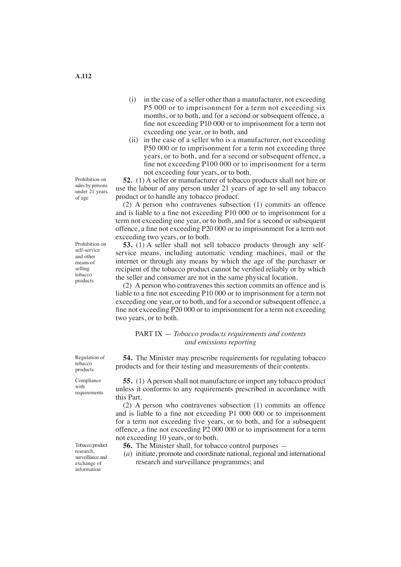- (i) in the case of a seller other than a manufacturer, not exceeding P5 000 or to imprisonment for a term not exceeding six months, or to both, and for a second or subsequent offence, a fine not exceeding P10 000 or to imprisonment for a term not exceeding one year, or to both, and
- (ii) in the case of a seller who is a manufacturer, not exceeding P50 000 or to imprisonment for a term not exceeding three years, or to both, and for a second or subsequent offence, a fine not exceeding P100 000 or to imprisonment for a term not exceeding four years, or to both.

**52.** (1) A seller or manufacturer of tobacco products shall not hire or use the labour of any person under 21 years of age to sell any tobacco product or to handle any tobacco product.

 (2) A person who contravenes subsection (1) commits an offence and is liable to a fine not exceeding P10 000 or to imprisonment for a term not exceeding one year, or to both, and for a second or subsequent offence, a fine not exceeding P20 000 or to imprisonment for a term not exceeding two years, or to both.

**53.** (1) A seller shall not sell tobacco products through any selfservice means, including automatic vending machines, mail or the internet or through any means by which the age of the purchaser or recipient of the tobacco product cannot be verified reliably or by which the seller and consumer are not in the same physical location.

 (2) A person who contravenes this section commits an offence and is liable to a fine not exceeding P10 000 or to imprisonment for a term not exceeding one year, or to both, and for a second or subsequent offence, a fine not exceeding P20 000 or to imprisonment for a term not exceeding two years, or to both.

PART IX — *Tobacco products requirements and contents and emissions reporting*

**54.** The Minister may prescribe requirements for regulating tobacco products and for their testing and measurements of their contents.

**55.** (1) A person shall not manufacture or import any tobacco product unless it conforms to any requirements prescribed in accordance with this Part.

 (2) A person who contravenes subsection (1) commits an offence and is liable to a fine not exceeding P1 000 000 or to imprisonment for a term not exceeding five years, or to both, and for a subsequent offence, a fine not exceeding P2 000 000 or to imprisonment for a term not exceeding 10 years, or to both.

- **56.** The Minister shall, for tobacco control purposes —
- (*a*) initiate, promote and coordinate national, regional and international research and surveillance programmes; and

Prohibition on sales by persons under 21 years of age

Prohibition on self-service and other means of selling tobacco products

Regulation of tobacco products

Compliance with requirements

Tobacco product research, surveillance and exchange of information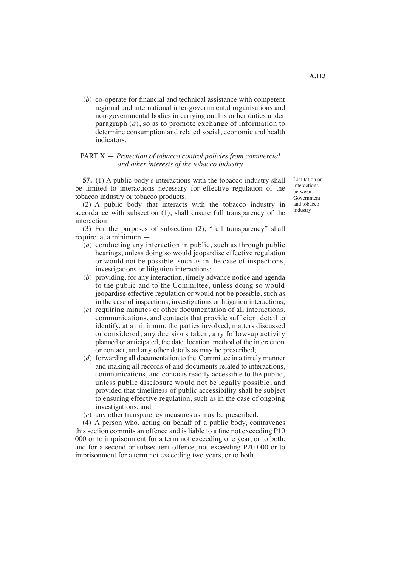(*b*) co-operate for financial and technical assistance with competent regional and international inter-governmental organisations and non-governmental bodies in carrying out his or her duties under paragraph (*a*), so as to promote exchange of information to determine consumption and related social, economic and health indicators.

### PART X — *Protection of tobacco control policies from commercial and other interests of the tobacco industry*

**57.** (1) A public body's interactions with the tobacco industry shall be limited to interactions necessary for effective regulation of the tobacco industry or tobacco products.

(2) A public body that interacts with the tobacco industry in accordance with subsection (1), shall ensure full transparency of the interaction.

 (3) For the purposes of subsection (2), "full transparency" shall require, at a minimum —

- (*a*) conducting any interaction in public, such as through public hearings, unless doing so would jeopardise effective regulation or would not be possible, such as in the case of inspections, investigations or litigation interactions;
- (*b*) providing, for any interaction, timely advance notice and agenda to the public and to the Committee, unless doing so would jeopardise effective regulation or would not be possible, such as in the case of inspections, investigations or litigation interactions;
- (*c*) requiring minutes or other documentation of all interactions, communications, and contacts that provide sufficient detail to identify, at a minimum, the parties involved, matters discussed or considered, any decisions taken, any follow-up activity planned or anticipated, the date, location, method of the interaction or contact, and any other details as may be prescribed;
- (*d*) forwarding all documentation to the Committee in a timely manner and making all records of and documents related to interactions, communications, and contacts readily accessible to the public, unless public disclosure would not be legally possible, and provided that timeliness of public accessibility shall be subject to ensuring effective regulation, such as in the case of ongoing investigations; and
- (*e*) any other transparency measures as may be prescribed.

 (4) A person who, acting on behalf of a public body, contravenes this section commits an offence and is liable to a fine not exceeding P10 000 or to imprisonment for a term not exceeding one year, or to both, and for a second or subsequent offence, not exceeding P20 000 or to imprisonment for a term not exceeding two years, or to both.

Limitation on interactions between Government and tobacco industry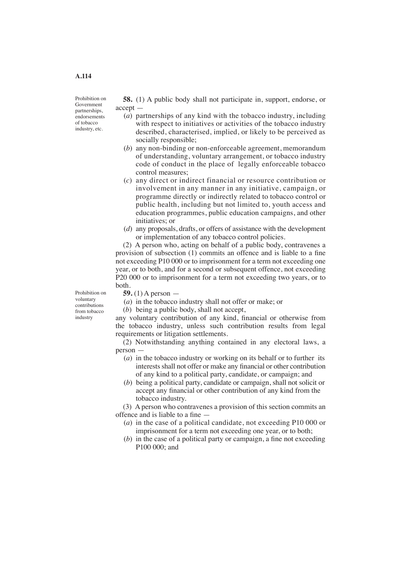Prohibition on Government partnerships, endorsements of tobacco industry, etc.

**58.** (1) A public body shall not participate in, support, endorse, or accept —

- (*a*) partnerships of any kind with the tobacco industry, including with respect to initiatives or activities of the tobacco industry described, characterised, implied, or likely to be perceived as socially responsible;
- (*b*) any non-binding or non-enforceable agreement, memorandum of understanding, voluntary arrangement, or tobacco industry code of conduct in the place of legally enforceable tobacco control measures;
- (*c*) any direct or indirect financial or resource contribution or involvement in any manner in any initiative, campaign, or programme directly or indirectly related to tobacco control or public health, including but not limited to, youth access and education programmes, public education campaigns, and other initiatives; or
- (*d*) any proposals, drafts, or offers of assistance with the development or implementation of any tobacco control policies.

 (2) A person who, acting on behalf of a public body, contravenes a provision of subsection (1) commits an offence and is liable to a fine not exceeding P10 000 or to imprisonment for a term not exceeding one year, or to both, and for a second or subsequent offence, not exceeding P20 000 or to imprisonment for a term not exceeding two years, or to both.

Prohibition on voluntary contributions from tobacco industry

**59.** (1) A person —

- (*a*) in the tobacco industry shall not offer or make; or
- (*b*) being a public body, shall not accept,

any voluntary contribution of any kind, financial or otherwise from the tobacco industry, unless such contribution results from legal requirements or litigation settlements.

 (2) Notwithstanding anything contained in any electoral laws, a person —

- (*a*) in the tobacco industry or working on its behalf or to further its interests shall not offer or make any financial or other contribution of any kind to a political party, candidate, or campaign; and
- (*b*) being a political party, candidate or campaign, shall not solicit or accept any financial or other contribution of any kind from the tobacco industry.

 (3) A person who contravenes a provision of this section commits an offence and is liable to a fine —

- (*a*) in the case of a political candidate, not exceeding P10 000 or imprisonment for a term not exceeding one year, or to both;
- (*b*) in the case of a political party or campaign, a fine not exceeding P100 000; and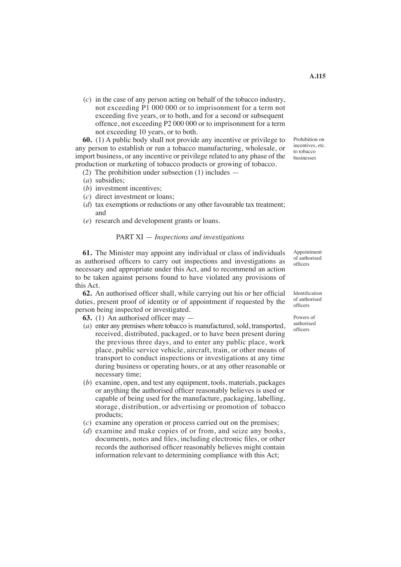(*c*) in the case of any person acting on behalf of the tobacco industry, not exceeding P1 000 000 or to imprisonment for a term not exceeding five years, or to both, and for a second or subsequent offence, not exceeding P2 000 000 or to imprisonment for a term not exceeding 10 years, or to both.

**60.** (1) A public body shall not provide any incentive or privilege to any person to establish or run a tobacco manufacturing, wholesale, or import business, or any incentive or privilege related to any phase of the production or marketing of tobacco products or growing of tobacco.

- (2) The prohibition under subsection (1) includes —
- (*a*) subsidies;
- (*b*) investment incentives;
- (*c*) direct investment or loans;
- (*d*) tax exemptions or reductions or any other favourable tax treatment; and
- (*e*) research and development grants or loans.

#### PART XI — *Inspections and investigations*

**61.** The Minister may appoint any individual or class of individuals as authorised officers to carry out inspections and investigations as necessary and appropriate under this Act, and to recommend an action to be taken against persons found to have violated any provisions of this Act.

**62.** An authorised officer shall, while carrying out his or her official duties, present proof of identity or of appointment if requested by the person being inspected or investigated.

**63.** (1) An authorised officer may —

- (*a*) enter any premises where tobacco is manufactured, sold, transported, received, distributed, packaged, or to have been present during the previous three days, and to enter any public place, work place, public service vehicle, aircraft, train, or other means of transport to conduct inspections or investigations at any time during business or operating hours, or at any other reasonable or necessary time;
- (*b*) examine, open, and test any equipment, tools, materials, packages or anything the authorised officer reasonably believes is used or capable of being used for the manufacture, packaging, labelling, storage, distribution, or advertising or promotion of tobacco products;
- (*c*) examine any operation or process carried out on the premises;
- (*d*) examine and make copies of or from, and seize any books, documents, notes and files, including electronic files, or other records the authorised officer reasonably believes might contain information relevant to determining compliance with this Act;

incentives, etc. to tobacco businesses

Prohibition on

Appointment of authorised officers

Identification of authorised officers

Powers of authorised officers

**A.115**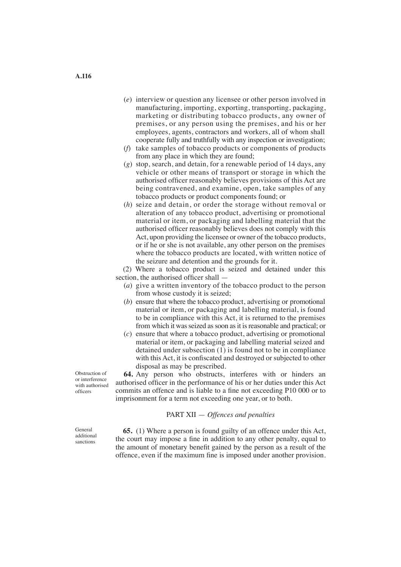- (*e*) interview or question any licensee or other person involved in manufacturing, importing, exporting, transporting, packaging, marketing or distributing tobacco products, any owner of premises, or any person using the premises, and his or her employees, agents, contractors and workers, all of whom shall cooperate fully and truthfully with any inspection or investigation;
- (*f*) take samples of tobacco products or components of products from any place in which they are found;
- (*g*) stop, search, and detain, for a renewable period of 14 days, any vehicle or other means of transport or storage in which the authorised officer reasonably believes provisions of this Act are being contravened, and examine, open, take samples of any tobacco products or product components found; or
- (*h*) seize and detain, or order the storage without removal or alteration of any tobacco product, advertising or promotional material or item, or packaging and labelling material that the authorised officer reasonably believes does not comply with this Act, upon providing the licensee or owner of the tobacco products, or if he or she is not available, any other person on the premises where the tobacco products are located, with written notice of the seizure and detention and the grounds for it.

 (2) Where a tobacco product is seized and detained under this section, the authorised officer shall —

- (*a*) give a written inventory of the tobacco product to the person from whose custody it is seized;
- (*b*) ensure that where the tobacco product, advertising or promotional material or item, or packaging and labelling material, is found to be in compliance with this Act, it is returned to the premises from which it was seized as soon as it is reasonable and practical; or
- (*c*) ensure that where a tobacco product, advertising or promotional material or item, or packaging and labelling material seized and detained under subsection (1) is found not to be in compliance with this Act, it is confiscated and destroyed or subjected to other disposal as may be prescribed.

**64.** Any person who obstructs, interferes with or hinders an authorised officer in the performance of his or her duties under this Act commits an offence and is liable to a fine not exceeding P10 000 or to imprisonment for a term not exceeding one year, or to both.

PART XII — *Offences and penalties*

**65.** (1) Where a person is found guilty of an offence under this Act, the court may impose a fine in addition to any other penalty, equal to the amount of monetary benefit gained by the person as a result of the offence, even if the maximum fine is imposed under another provision.

Obstruction of or interference with authorised officers

General additional sanctions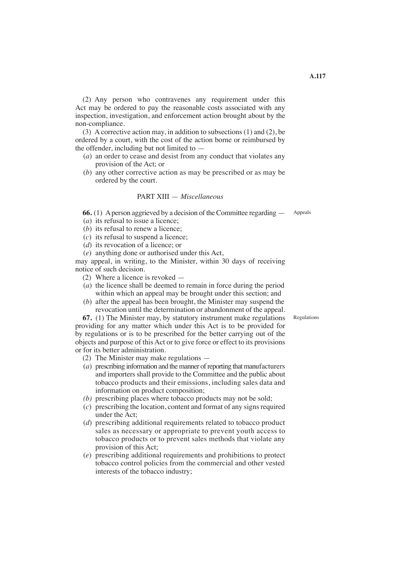(2) Any person who contravenes any requirement under this Act may be ordered to pay the reasonable costs associated with any inspection, investigation, and enforcement action brought about by the non-compliance.

 (3) A corrective action may, in addition to subsections (1) and (2), be ordered by a court, with the cost of the action borne or reimbursed by the offender, including but not limited to —

- (*a*) an order to cease and desist from any conduct that violates any provision of the Act; or
- (*b*) any other corrective action as may be prescribed or as may be ordered by the court.

### PART XIII — *Miscellaneous*

**66.** (1) A person aggrieved by a decision of the Committee regarding — Appeals

- (*a*) its refusal to issue a licence;
- (*b*) its refusal to renew a licence:
- (*c*) its refusal to suspend a licence;
- (*d*) its revocation of a licence; or
- (*e*) anything done or authorised under this Act,

may appeal, in writing, to the Minister, within 30 days of receiving notice of such decision.

- (2) Where a licence is revoked —
- (*a*) the licence shall be deemed to remain in force during the period within which an appeal may be brought under this section; and
- (*b*) after the appeal has been brought, the Minister may suspend the revocation until the determination or abandonment of the appeal.

**67.** (1) The Minister may, by statutory instrument make regulations providing for any matter which under this Act is to be provided for by regulations or is to be prescribed for the better carrying out of the objects and purpose of this Act or to give force or effect to its provisions or for its better administration.

- (2) The Minister may make regulations —
- $(a)$  prescribing information and the manner of reporting that manufacturers and importers shall provide to the Committee and the public about tobacco products and their emissions, including sales data and information on product composition;
- *(b)* prescribing places where tobacco products may not be sold;
- $(c)$  prescribing the location, content and format of any signs required under the Act;
- (*d*) prescribing additional requirements related to tobacco product sales as necessary or appropriate to prevent youth access to tobacco products or to prevent sales methods that violate any provision of this Act;
- (*e*) prescribing additional requirements and prohibitions to protect tobacco control policies from the commercial and other vested interests of the tobacco industry;

Regulations